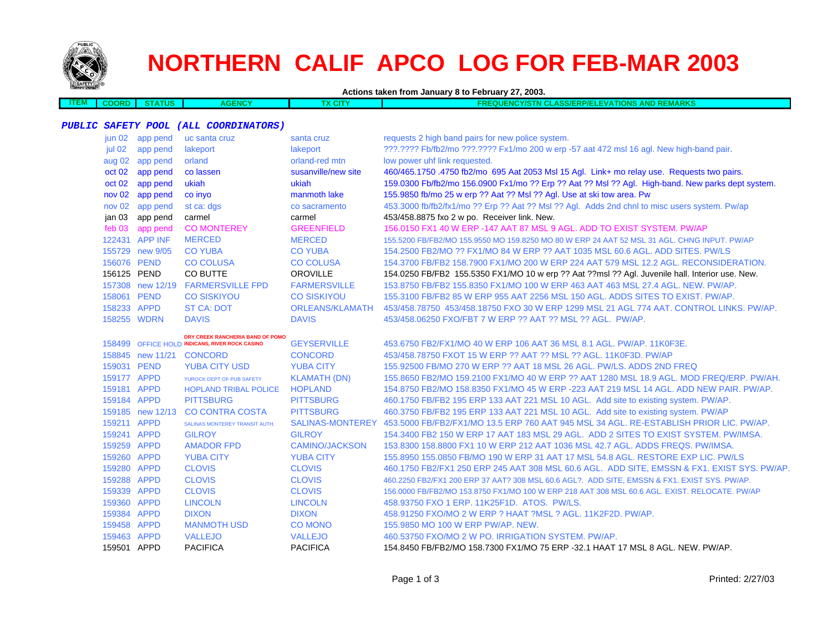

 $\overline{\phantom{a}}$ 

# **NORTHERN CALIF APCO LOG FOR FEB-MAR 2003**

| EM 1 | ORD | $\overline{\phantom{a}}$ | ENCY<br>AGL | <b>N CLASS/ERP/ELEVATIONS AND REMARKS</b><br>"CY/STN<br><b>REQUEI</b><br>. . |
|------|-----|--------------------------|-------------|------------------------------------------------------------------------------|
|      |     |                          |             |                                                                              |

#### **PUBLIC SAFETY POOL (ALL COORDINATORS)**

| jun 02            | app pend         | uc santa cruz                                  | santa cruz            | requests 2 high band pairs for new police system.                                                       |
|-------------------|------------------|------------------------------------------------|-----------------------|---------------------------------------------------------------------------------------------------------|
| jul 02            | app pend         | lakeport                                       | lakeport              | ???.???? Fb/fb2/mo ???.???? Fx1/mo 200 w erp -57 aat 472 msl 16 agl. New high-band pair.                |
| aug 02            | app pend         | orland                                         | orland-red mtn        | low power uhf link requested.                                                                           |
| oct 02            | app pend         | co lassen                                      | susanville/new site   | 460/465.1750.4750 fb2/mo 695 Aat 2053 Msl 15 Agl. Link+ mo relay use. Requests two pairs.               |
| oct 02            | app pend         | ukiah                                          | ukiah                 | 159.0300 Fb/fb2/mo 156.0900 Fx1/mo ?? Erp ?? Aat ?? Msl ?? Agl. High-band. New parks dept system.       |
| nov <sub>02</sub> | app pend         | co inyo                                        | manmoth lake          | 155.9850 fb/mo 25 w erp ?? Aat ?? Msl ?? Agl. Use at ski tow area. Pw                                   |
| nov 02            | app pend         | st ca: dgs                                     | co sacramento         | 453.3000 fb/fb2/fx1/mo ?? Erp ?? Aat ?? Msl ?? Agl. Adds 2nd chnl to misc users system. Pw/ap           |
| jan 03            | app pend         | carmel                                         | carmel                | 453/458.8875 fxo 2 w po. Receiver link. New.                                                            |
| feb 03            | app pend         | <b>CO MONTEREY</b>                             | <b>GREENFIELD</b>     | 156.0150 FX1 40 W ERP -147 AAT 87 MSL 9 AGL. ADD TO EXIST SYSTEM. PW/AP                                 |
|                   | 122431 APP INF   | <b>MERCED</b>                                  | <b>MERCED</b>         | 155,5200 FB/FB2/MO 155,9550 MO 159,8250 MO 80 W ERP 24 AAT 52 MSL 31 AGL, CHNG INPUT, PW/AP             |
|                   | 155729 new 9/05  | <b>CO YUBA</b>                                 | <b>CO YUBA</b>        | 154,2500 FB2/MO ?? FX1/MO 84 W ERP ?? AAT 1035 MSL 60.6 AGL, ADD SITES, PW/LS                           |
| 156076 PEND       |                  | <b>CO COLUSA</b>                               | <b>CO COLUSA</b>      | 154,3700 FB/FB2 158,7900 FX1/MO 200 W ERP 224 AAT 579 MSL 12.2 AGL, RECONSIDERATION.                    |
| 156125 PEND       |                  | CO BUTTE                                       | <b>OROVILLE</b>       | 154.0250 FB/FB2 155.5350 FX1/MO 10 w erp ?? Aat ??msl ?? Agl. Juvenile hall. Interior use. New.         |
|                   |                  | 157308 new 12/19 FARMERSVILLE FPD              | <b>FARMERSVILLE</b>   | 153.8750 FB/FB2 155.8350 FX1/MO 100 W ERP 463 AAT 463 MSL 27.4 AGL, NEW, PW/AP,                         |
| 158061 PEND       |                  | <b>CO SISKIYOU</b>                             | <b>CO SISKIYOU</b>    | 155,3100 FB/FB2 85 W ERP 955 AAT 2256 MSL 150 AGL, ADDS SITES TO EXIST, PW/AP.                          |
| 158233 APPD       |                  | <b>ST CA: DOT</b>                              | ORLEANS/KLAMATH       | 453/458,78750 453/458,18750 FXO 30 W ERP 1299 MSL 21 AGL 774 AAT, CONTROL LINKS, PW/AP,                 |
|                   | 158255 WDRN      | <b>DAVIS</b>                                   | <b>DAVIS</b>          | 453/458.06250 FXO/FBT 7 W ERP ?? AAT ?? MSL ?? AGL. PW/AP.                                              |
|                   |                  | DRY CREEK RANCHERIA BAND OF POMO               |                       |                                                                                                         |
|                   |                  | 158499 OFFICE HOLD INDICANS, RIVER ROCK CASINO | <b>GEYSERVILLE</b>    | 453.6750 FB2/FX1/MO 40 W ERP 106 AAT 36 MSL 8.1 AGL, PW/AP, 11K0F3E.                                    |
|                   |                  | 158845 new 11/21 CONCORD                       | <b>CONCORD</b>        | 453/458.78750 FXOT 15 W ERP ?? AAT ?? MSL ?? AGL, 11K0F3D, PW/AP                                        |
| 159031 PEND       |                  | <b>YUBA CITY USD</b>                           | <b>YUBA CITY</b>      | 155,92500 FB/MO 270 W ERP ?? AAT 18 MSL 26 AGL, PW/LS, ADDS 2ND FREQ                                    |
| 159177 APPD       |                  | YUROCK DEPT OF PUB SAFETY                      | <b>KLAMATH (DN)</b>   | 155,8650 FB2/MO 159,2100 FX1/MO 40 W ERP ?? AAT 1280 MSL 18.9 AGL, MOD FREQ/ERP, PW/AH.                 |
| 159181 APPD       |                  | <b>HOPLAND TRIBAL POLICE</b>                   | <b>HOPLAND</b>        | 154.8750 FB2/MO 158.8350 FX1/MO 45 W ERP -223 AAT 219 MSL 14 AGL, ADD NEW PAIR, PW/AP,                  |
| 159184 APPD       |                  | <b>PITTSBURG</b>                               | <b>PITTSBURG</b>      | 460.1750 FB/FB2 195 ERP 133 AAT 221 MSL 10 AGL. Add site to existing system. PW/AP.                     |
|                   | 159185 new 12/13 | <b>CO CONTRA COSTA</b>                         | <b>PITTSBURG</b>      | 460.3750 FB/FB2 195 ERP 133 AAT 221 MSL 10 AGL. Add site to existing system. PW/AP                      |
| 159211 APPD       |                  | SALINAS MONTEREY TRANSIT AUTH.                 |                       | SALINAS-MONTEREY 453,5000 FB/FB2/FX1/MO 13.5 ERP 760 AAT 945 MSL 34 AGL, RE-ESTABLISH PRIOR LIC, PW/AP. |
| 159241 APPD       |                  | <b>GILROY</b>                                  | <b>GILROY</b>         | 154,3400 FB2 150 W ERP 17 AAT 183 MSL 29 AGL. ADD 2 SITES TO EXIST SYSTEM, PW/IMSA.                     |
| 159259 APPD       |                  | <b>AMADOR FPD</b>                              | <b>CAMINO/JACKSON</b> | 153.8300 158.8800 FX1 10 W ERP 212 AAT 1036 MSL 42.7 AGL. ADDS FREQS. PW/IMSA.                          |
| 159260 APPD       |                  | <b>YUBA CITY</b>                               | <b>YUBA CITY</b>      | 155.8950 155.0850 FB/MO 190 W ERP 31 AAT 17 MSL 54.8 AGL. RESTORE EXP LIC. PW/LS                        |
| 159280 APPD       |                  | <b>CLOVIS</b>                                  | <b>CLOVIS</b>         | 460.1750 FB2/FX1 250 ERP 245 AAT 308 MSL 60.6 AGL. ADD SITE, EMSSN & FX1. EXIST SYS. PW/AP.             |
| 159288 APPD       |                  | <b>CLOVIS</b>                                  | <b>CLOVIS</b>         | 460.2250 FB2/FX1 200 ERP 37 AAT? 308 MSL 60.6 AGL?. ADD SITE, EMSSN & FX1. EXIST SYS. PW/AP.            |
| 159339 APPD       |                  | <b>CLOVIS</b>                                  | <b>CLOVIS</b>         | 156.0000 FB/FB2/MO 153.8750 FX1/MO 100 W ERP 218 AAT 308 MSL 60.6 AGL. EXIST. RELOCATE. PW/AP           |
| 159360 APPD       |                  | <b>LINCOLN</b>                                 | <b>LINCOLN</b>        | 458.93750 FXO 1 ERP. 11K25F1D. ATOS. PW/LS.                                                             |
| 159384 APPD       |                  | <b>DIXON</b>                                   | <b>DIXON</b>          | 458.91250 FXO/MO 2 W ERP ? HAAT ?MSL ? AGL, 11K2F2D, PW/AP.                                             |
| 159458 APPD       |                  | <b>MANMOTH USD</b>                             | <b>CO MONO</b>        | 155,9850 MO 100 W ERP PW/AP, NEW.                                                                       |
| 159463 APPD       |                  | <b>VALLEJO</b>                                 | <b>VALLEJO</b>        | 460,53750 FXO/MO 2 W PO. IRRIGATION SYSTEM, PW/AP.                                                      |
| 159501 APPD       |                  | <b>PACIFICA</b>                                | <b>PACIFICA</b>       | 154.8450 FB/FB2/MO 158.7300 FX1/MO 75 ERP -32.1 HAAT 17 MSL 8 AGL, NEW, PW/AP,                          |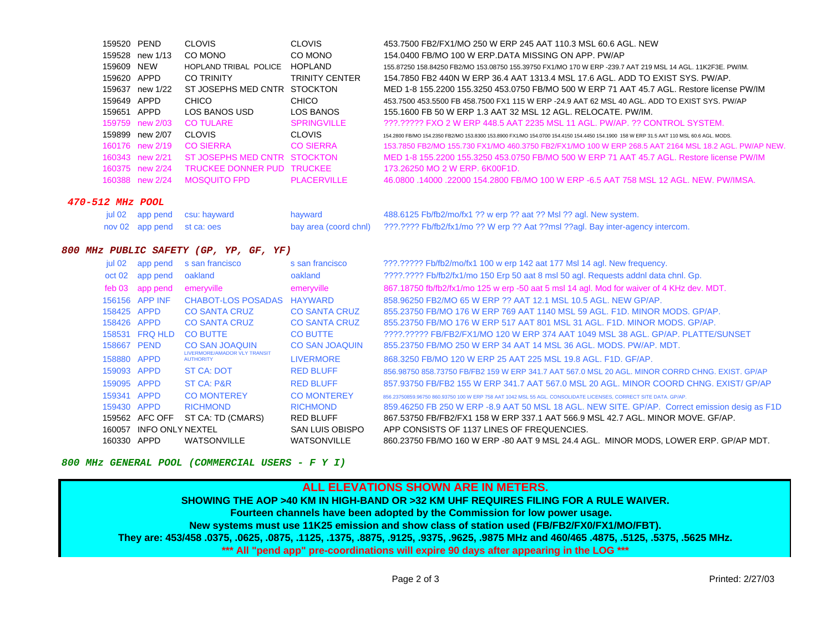|                  | 159520 PEND |                 | <b>CLOVIS</b>                | <b>CLOVIS</b>         | 453.7500 FB2/FX1/MO 250 W ERP 245 AAT 110.3 MSL 60.6 AGL. NEW                                                                          |
|------------------|-------------|-----------------|------------------------------|-----------------------|----------------------------------------------------------------------------------------------------------------------------------------|
|                  |             | 159528 new 1/13 | CO MONO                      | CO MONO               | 154,0400 FB/MO 100 W ERP.DATA MISSING ON APP. PW/AP                                                                                    |
|                  | 159609 NEW  |                 | HOPLAND TRIBAL POLICE        | <b>HOPLAND</b>        | 155.87250 158.84250 FB2/MO 153.08750 155.39750 FX1/MO 170 W ERP -239.7 AAT 219 MSL 14 AGL. 11K2F3E, PW/IM,                             |
|                  | 159620 APPD |                 | <b>CO TRINITY</b>            | <b>TRINITY CENTER</b> | 154.7850 FB2 440N W ERP 36.4 AAT 1313.4 MSL 17.6 AGL. ADD TO EXIST SYS. PW/AP.                                                         |
|                  | 159637      | new 1/22        | ST JOSEPHS MED CNTR          | <b>STOCKTON</b>       | MED 1-8 155.2200 155.3250 453.0750 FB/MO 500 W ERP 71 AAT 45.7 AGL. Restore license PW/IM                                              |
|                  | 159649 APPD |                 | CHICO                        | <b>CHICO</b>          | 453,7500 453,5500 FB 458,7500 FX1 115 W ERP -24.9 AAT 62 MSL 40 AGL, ADD TO EXIST SYS, PW/AP                                           |
|                  | 159651      | APPD            | LOS BANOS USD                | LOS BANOS             | 155.1600 FB 50 W ERP 1.3 AAT 32 MSL 12 AGL, RELOCATE, PW/IM.                                                                           |
|                  |             | 159759 new 2/03 | CO TULARE                    | <b>SPRINGVILLE</b>    | 222.22222 FXO 2 W ERP 448.5 AAT 2235 MSL 11 AGL, PW/AP, 22 CONTROL SYSTEM.                                                             |
|                  |             | 159899 new 2/07 | <b>CLOVIS</b>                | <b>CLOVIS</b>         | 154.2800 FB/MO 154.2350 FB2/MO 153.8300 153.8900 FX1/MO 154.0700 154.4150 154.4450 154.1900 158 W ERP 31.5 AAT 110 MSL 60.6 AGL. MODS. |
|                  |             | 160176 new 2/19 | <b>CO SIERRA</b>             | <b>CO SIERRA</b>      | 153.7850 FB2/MO 155.730 FX1/MO 460.3750 FB2/FX1/MO 100 W ERP 268.5 AAT 2164 MSL 18.2 AGL. PW/AP NEW                                    |
|                  |             | 160343 new 2/21 | ST JOSEPHS MED CNTR STOCKTON |                       | MED 1-8 155.2200 155.3250 453.0750 FB/MO 500 W ERP 71 AAT 45.7 AGL. Restore license PW/IM                                              |
|                  |             | 160375 new 2/24 | <b>TRUCKEE DONNER PUD</b>    | <b>TRUCKEE</b>        | 173.26250 MO 2 W ERP. 6K00F1D.                                                                                                         |
|                  |             | 160388 new 2/24 | MOSOUITO FPD                 | <b>PLACERVILLE</b>    | 46.0800 14000 22000 154.2800 FB/MO 100 W ERP -6.5 AAT 758 MSL 12 AGL. NEW, PW/IMSA,                                                    |
| 470-512 MHz POOL |             |                 |                              |                       |                                                                                                                                        |

|  | jul 02 app pend csu: hayward | hayward | 488.6125 Fb/fb2/mo/fx1 ?? w erp ?? aat ?? Msl ?? agl. New system.                                    |
|--|------------------------------|---------|------------------------------------------------------------------------------------------------------|
|  | nov 02 app pend st ca: oes   |         | bay area (coord chnl) 2??.???? Fb/fb2/fx1/mo ?? W erp ?? Aat ??msl ??agl. Bay inter-agency intercom. |

#### **800 MHz PUBLIC SAFETY (GP, YP, GF, YF)**

| jul 02      | app pend                                   | s san francisco                                  | s san francisco       | ???.????? Fb/fb2/mo/fx1 100 w erp 142 aat 177 Msl 14 agl. New frequency.                                       |
|-------------|--------------------------------------------|--------------------------------------------------|-----------------------|----------------------------------------------------------------------------------------------------------------|
| oct 02      | app pend                                   | oakland                                          | oakland               | ????.???? Fb/fb2/fx1/mo 150 Erp 50 aat 8 msl 50 agl. Requests addnl data chnl. Gp.                             |
| feb 03      | app pend                                   | emeryville                                       | emeryville            | 867.18750 fb/fb2/fx1/mo 125 w erp -50 aat 5 msl 14 agl. Mod for waiver of 4 KHz dev. MDT.                      |
|             | 156156 APP INF                             | <b>CHABOT-LOS POSADAS</b>                        | <b>HAYWARD</b>        | 858,96250 FB2/MO 65 W ERP ?? AAT 12.1 MSL 10.5 AGL, NEW GP/AP.                                                 |
| 158425 APPD |                                            | <b>CO SANTA CRUZ</b>                             | <b>CO SANTA CRUZ</b>  | 855,23750 FB/MO 176 W ERP 769 AAT 1140 MSL 59 AGL, F1D, MINOR MODS, GP/AP,                                     |
| 158426 APPD |                                            | <b>CO SANTA CRUZ</b>                             | <b>CO SANTA CRUZ</b>  | 855.23750 FB/MO 176 W ERP 517 AAT 801 MSL 31 AGL, F1D, MINOR MODS, GP/AP,                                      |
|             | 158531 FRQ HLD                             | <b>CO BUTTE</b>                                  | <b>CO BUTTE</b>       | ????.????? FB/FB2/FX1/MO 120 W ERP 374 AAT 1049 MSL 38 AGL. GP/AP. PLATTE/SUNSET                               |
| 158667 PEND |                                            | <b>CO SAN JOAQUIN</b>                            | <b>CO SAN JOAQUIN</b> | 855,23750 FB/MO 250 W ERP 34 AAT 14 MSL 36 AGL, MODS, PW/AP, MDT,                                              |
| 158880 APPD |                                            | LIVERMORE/AMADOR VLY TRANSIT<br><b>AUTHORITY</b> | <b>LIVERMORE</b>      | 868.3250 FB/MO 120 W ERP 25 AAT 225 MSL 19.8 AGL, F1D, GF/AP,                                                  |
| 159093 APPD |                                            | <b>ST CA: DOT</b>                                | <b>RED BLUFF</b>      | 856.98750 858.73750 FB/FB2 159 W ERP 341.7 AAT 567.0 MSL 20 AGL. MINOR CORRD CHNG. EXIST. GP/AP                |
| 159095 APPD |                                            | <b>ST CA: P&amp;R</b>                            | <b>RED BLUFF</b>      | 857,93750 FB/FB2 155 W ERP 341.7 AAT 567.0 MSL 20 AGL, MINOR COORD CHNG, EXIST/ GP/AP                          |
| 159341 APPD |                                            | <b>CO MONTEREY</b>                               | <b>CO MONTEREY</b>    | 856.23750859.96750.860.93750.100 W ERP 758 AAT 1042 MSL 55 AGL, CONSOLIDATE LICENSES, CORRECT SITE DATA, GP/AP |
| 159430 APPD |                                            | <b>RICHMOND</b>                                  | <b>RICHMOND</b>       | 859.46250 FB 250 W ERP -8.9 AAT 50 MSL 18 AGL. NEW SITE. GP/AP. Correct emission desig as F1D                  |
|             | 159562 AFC OFF                             | ST CA: TD (CMARS)                                | <b>RED BLUFF</b>      | 867.53750 FB/FB2/FX1 158 W ERP 337.1 AAT 566.9 MSL 42.7 AGL, MINOR MOVE, GF/AP,                                |
| 160057      | <b>INFO ONLY NEXTEL</b><br>SAN LUIS OBISPO |                                                  |                       | APP CONSISTS OF 1137 LINES OF FREQUENCIES.                                                                     |
| 160330 APPD |                                            | <b>WATSONVILLE</b>                               | <b>WATSONVILLE</b>    | 860.23750 FB/MO 160 W ERP -80 AAT 9 MSL 24.4 AGL. MINOR MODS, LOWER ERP. GP/AP MDT.                            |

#### **800 MHz GENERAL POOL (COMMERCIAL USERS - F Y I)**

### **ALL ELEVATIONS SHOWN ARE IN METERS.**

## **SHOWING THE AOP >40 KM IN HIGH-BAND OR >32 KM UHF REQUIRES FILING FOR A RULE WAIVER.**

## **Fourteen channels have been adopted by the Commission for low power usage.**

**New systems must use 11K25 emission and show class of station used (FB/FB2/FX0/FX1/MO/FBT).**

**They are: 453/458 .0375, .0625, .0875, .1125, .1375, .8875, .9125, .9375, .9625, .9875 MHz and 460/465 .4875, .5125, .5375, .5625 MHz.**

**\*\*\* All "pend app" pre-coordinations will expire 90 days after appearing in the LOG \*\*\***